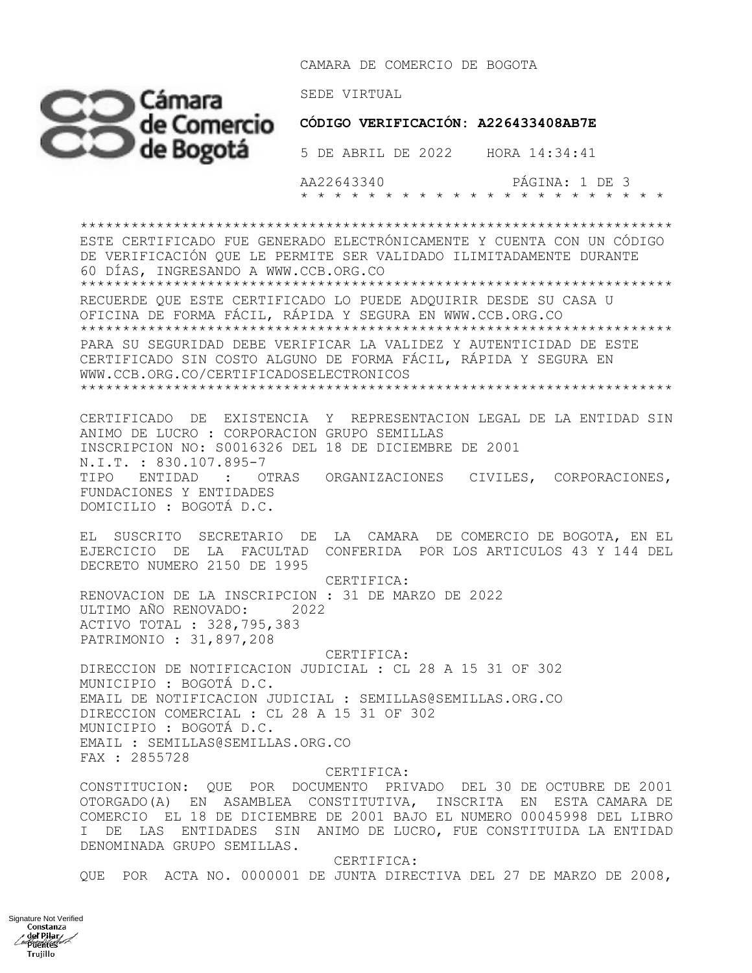CAMARA DE COMERCIO DE BOGOTA



 **CÓDIGO VERIFICACIÓN: A226433408AB7E**

 AA22643340 PÁGINA: 1 DE 3 \* \* \* \* \* \* \* \* \* \* \* \* \* \* \* \* \* \* \* \* \* \*

\*\*\*\*\*\*\*\*\*\*\*\*\*\*\*\*\*\*\*\*\*\*\*\*\*\*\*\*\*\*\*\*\*\*\*\*\*\*\*\*\*\*\*\*\*\*\*\*\*\*\*\*\*\*\*\*\*\*\*\*\*\*\*\*\*\*\*\*\*\* ESTE CERTIFICADO FUE GENERADO ELECTRÓNICAMENTE Y CUENTA CON UN CÓDIGO DE VERIFICACIÓN QUE LE PERMITE SER VALIDADO ILIMITADAMENTE DURANTE 60 DÍAS, INGRESANDO A WWW.CCB.ORG.CO \*\*\*\*\*\*\*\*\*\*\*\*\*\*\*\*\*\*\*\*\*\*\*\*\*\*\*\*\*\*\*\*\*\*\*\*\*\*\*\*\*\*\*\*\*\*\*\*\*\*\*\*\*\*\*\*\*\*\*\*\*\*\*\*\*\*\*\*\*\* RECUERDE QUE ESTE CERTIFICADO LO PUEDE ADQUIRIR DESDE SU CASA U OFICINA DE FORMA FÁCIL, RÁPIDA Y SEGURA EN WWW.CCB.ORG.CO \*\*\*\*\*\*\*\*\*\*\*\*\*\*\*\*\*\*\*\*\*\*\*\*\*\*\*\*\*\*\*\*\*\*\*\*\*\*\*\*\*\*\*\*\*\*\*\*\*\*\*\*\*\*\*\*\*\*\*\*\*\*\*\*\*\*\*\*\*\* PARA SU SEGURIDAD DEBE VERIFICAR LA VALIDEZ Y AUTENTICIDAD DE ESTE CERTIFICADO SIN COSTO ALGUNO DE FORMA FÁCIL, RÁPIDA Y SEGURA EN WWW.CCB.ORG.CO/CERTIFICADOSELECTRONICOS \*\*\*\*\*\*\*\*\*\*\*\*\*\*\*\*\*\*\*\*\*\*\*\*\*\*\*\*\*\*\*\*\*\*\*\*\*\*\*\*\*\*\*\*\*\*\*\*\*\*\*\*\*\*\*\*\*\*\*\*\*\*\*\*\*\*\*\*\*\* CERTIFICADO DE EXISTENCIA Y REPRESENTACION LEGAL DE LA ENTIDAD SIN ANIMO DE LUCRO : CORPORACION GRUPO SEMILLAS INSCRIPCION NO: S0016326 DEL 18 DE DICIEMBRE DE 2001 N.I.T. : 830.107.895-7 TIPO ENTIDAD : OTRAS ORGANIZACIONES CIVILES, CORPORACIONES, FUNDACIONES Y ENTIDADES DOMICILIO : BOGOTÁ D.C. EL SUSCRITO SECRETARIO DE LA CAMARA DE COMERCIO DE BOGOTA, EN EL EJERCICIO DE LA FACULTAD CONFERIDA POR LOS ARTICULOS 43 Y 144 DEL DECRETO NUMERO 2150 DE 1995 CERTIFICA: RENOVACION DE LA INSCRIPCION : 31 DE MARZO DE 2022 ULTIMO AÑO RENOVADO: 2022 ACTIVO TOTAL : 328,795,383 PATRIMONIO : 31,897,208

 CERTIFICA: DIRECCION DE NOTIFICACION JUDICIAL : CL 28 A 15 31 OF 302 MUNICIPIO : BOGOTÁ D.C. EMAIL DE NOTIFICACION JUDICIAL : SEMILLAS@SEMILLAS.ORG.CO DIRECCION COMERCIAL : CL 28 A 15 31 OF 302 MUNICIPIO : BOGOTÁ D.C. EMAIL : SEMILLAS@SEMILLAS.ORG.CO FAX : 2855728

CERTIFICA:

CONSTITUCION: QUE POR DOCUMENTO PRIVADO DEL 30 DE OCTUBRE DE 2001 OTORGADO(A) EN ASAMBLEA CONSTITUTIVA, INSCRITA EN ESTA CAMARA DE COMERCIO EL 18 DE DICIEMBRE DE 2001 BAJO EL NUMERO 00045998 DEL LIBRO I DE LAS ENTIDADES SIN ANIMO DE LUCRO, FUE CONSTITUIDA LA ENTIDAD DENOMINADA GRUPO SEMILLAS.

 CERTIFICA: QUE POR ACTA NO. 0000001 DE JUNTA DIRECTIVA DEL 27 DE MARZO DE 2008,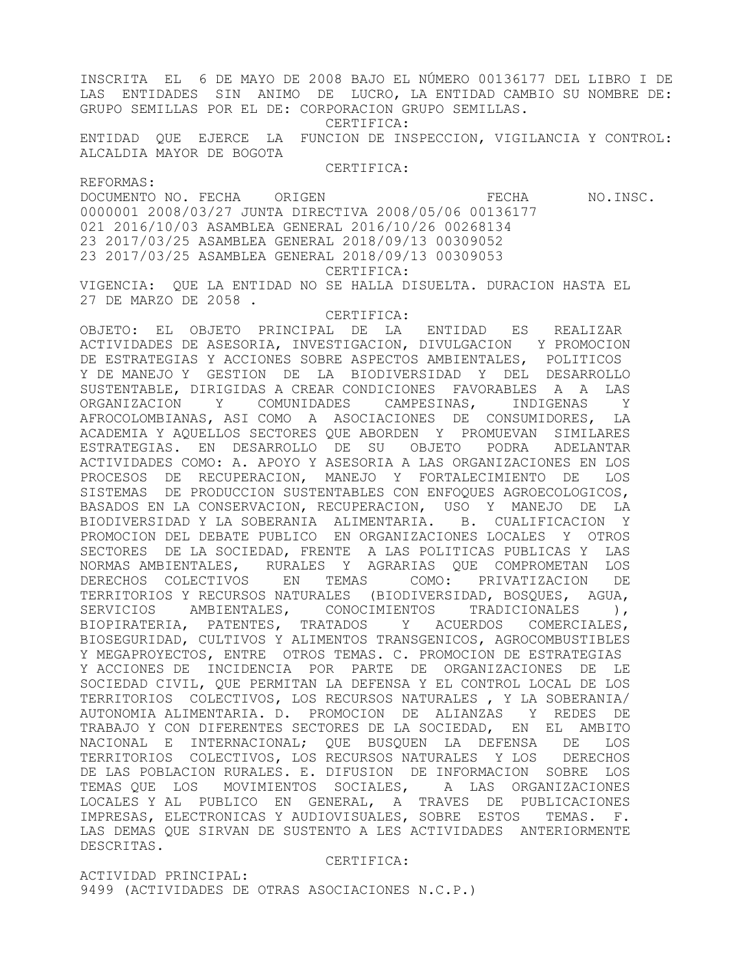INSCRITA EL 6 DE MAYO DE 2008 BAJO EL NÚMERO 00136177 DEL LIBRO I DE LAS ENTIDADES SIN ANIMO DE LUCRO, LA ENTIDAD CAMBIO SU NOMBRE DE: GRUPO SEMILLAS POR EL DE: CORPORACION GRUPO SEMILLAS. CERTIFICA: ENTIDAD QUE EJERCE LA FUNCION DE INSPECCION, VIGILANCIA Y CONTROL: ALCALDIA MAYOR DE BOGOTA CERTIFICA: REFORMAS: DOCUMENTO NO. FECHA ORIGEN **EXAMPLE ORIGEN** FECHA NO.INSC. 0000001 2008/03/27 JUNTA DIRECTIVA 2008/05/06 00136177 021 2016/10/03 ASAMBLEA GENERAL 2016/10/26 00268134 23 2017/03/25 ASAMBLEA GENERAL 2018/09/13 00309052 23 2017/03/25 ASAMBLEA GENERAL 2018/09/13 00309053 CERTIFICA: VIGENCIA: QUE LA ENTIDAD NO SE HALLA DISUELTA. DURACION HASTA EL 27 DE MARZO DE 2058 . CERTIFICA: OBJETO: EL OBJETO PRINCIPAL DE LA ENTIDAD ES REALIZAR ACTIVIDADES DE ASESORIA, INVESTIGACION, DIVULGACION Y PROMOCION DE ESTRATEGIAS Y ACCIONES SOBRE ASPECTOS AMBIENTALES, POLITICOS Y DE MANEJO Y GESTION DE LA BIODIVERSIDAD Y DEL DESARROLLO SUSTENTABLE, DIRIGIDAS A CREAR CONDICIONES FAVORABLES A A LAS ORGANIZACION Y COMUNIDADES CAMPESINAS, INDIGENAS Y AFROCOLOMBIANAS, ASI COMO A ASOCIACIONES DE CONSUMIDORES, LA ACADEMIA Y AQUELLOS SECTORES QUE ABORDEN Y PROMUEVAN SIMILARES ESTRATEGIAS. EN DESARROLLO DE SU OBJETO PODRA ADELANTAR ACTIVIDADES COMO: A. APOYO Y ASESORIA A LAS ORGANIZACIONES EN LOS PROCESOS DE RECUPERACION, MANEJO Y FORTALECIMIENTO DE LOS SISTEMAS DE PRODUCCION SUSTENTABLES CON ENFOQUES AGROECOLOGICOS, BASADOS EN LA CONSERVACION, RECUPERACION, USO Y MANEJO DE LA BIODIVERSIDAD Y LA SOBERANIA ALIMENTARIA. B. CUALIFICACION Y PROMOCION DEL DEBATE PUBLICO EN ORGANIZACIONES LOCALES Y OTROS SECTORES DE LA SOCIEDAD, FRENTE A LAS POLITICAS PUBLICAS Y LAS NORMAS AMBIENTALES, RURALES Y AGRARIAS QUE COMPROMETAN LOS DERECHOS COLECTIVOS EN TEMAS COMO: PRIVATIZACION DE TERRITORIOS Y RECURSOS NATURALES (BIODIVERSIDAD, BOSQUES, AGUA, SERVICIOS AMBIENTALES, CONOCIMIENTOS TRADICIONALES ), BIOPIRATERIA, PATENTES, TRATADOS Y ACUERDOS COMERCIALES, BIOSEGURIDAD, CULTIVOS Y ALIMENTOS TRANSGENICOS, AGROCOMBUSTIBLES Y MEGAPROYECTOS, ENTRE OTROS TEMAS. C. PROMOCION DE ESTRATEGIAS Y ACCIONES DE INCIDENCIA POR PARTE DE ORGANIZACIONES DE LE SOCIEDAD CIVIL, QUE PERMITAN LA DEFENSA Y EL CONTROL LOCAL DE LOS TERRITORIOS COLECTIVOS, LOS RECURSOS NATURALES , Y LA SOBERANIA/ AUTONOMIA ALIMENTARIA. D. PROMOCION DE ALIANZAS Y REDES DE TRABAJO Y CON DIFERENTES SECTORES DE LA SOCIEDAD, EN EL AMBITO NACIONAL E INTERNACIONAL; QUE BUSQUEN LA DEFENSA DE LOS TERRITORIOS COLECTIVOS, LOS RECURSOS NATURALES Y LOS DERECHOS DE LAS POBLACION RURALES. E. DIFUSION DE INFORMACION SOBRE LOS TEMAS QUE LOS MOVIMIENTOS SOCIALES, A LAS ORGANIZACIONES LOCALES Y AL PUBLICO EN GENERAL, A TRAVES DE PUBLICACIONES IMPRESAS, ELECTRONICAS Y AUDIOVISUALES, SOBRE ESTOS TEMAS. F. LAS DEMAS QUE SIRVAN DE SUSTENTO A LES ACTIVIDADES ANTERIORMENTE DESCRITAS.

CERTIFICA:

ACTIVIDAD PRINCIPAL: 9499 (ACTIVIDADES DE OTRAS ASOCIACIONES N.C.P.)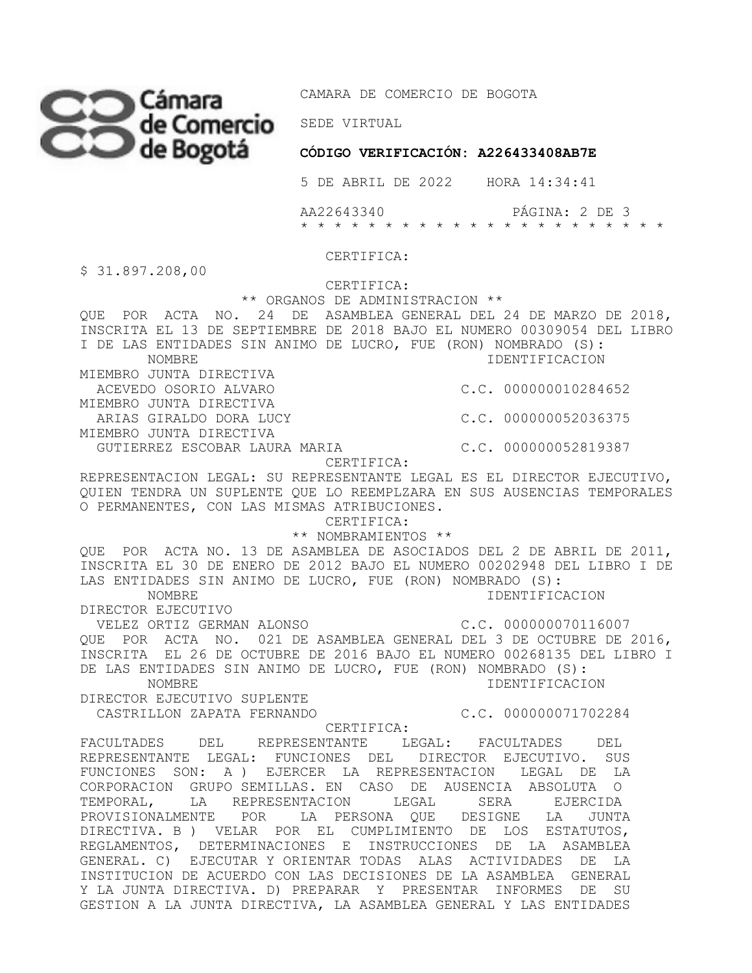

**CÓDIGO VERIFICACIÓN: A226433408AB7E** 

5 DE ABRIL DE 2022 HORA 14:34:41

 AA22643340 PÁGINA: 2 DE 3 \* \* \* \* \* \* \* \* \* \* \* \* \* \* \* \* \* \* \* \* \* \*

CERTIFICA:

\$ 31.897.208,00

CERTIFICA:

 \*\* ORGANOS DE ADMINISTRACION \*\* QUE POR ACTA NO. 24 DE ASAMBLEA GENERAL DEL 24 DE MARZO DE 2018, INSCRITA EL 13 DE SEPTIEMBRE DE 2018 BAJO EL NUMERO 00309054 DEL LIBRO I DE LAS ENTIDADES SIN ANIMO DE LUCRO, FUE (RON) NOMBRADO (S): NOMBRE IDENTIFICACION MIEMBRO JUNTA DIRECTIVA ACEVEDO OSORIO ALVARO C.C. 000000010284652 MIEMBRO JUNTA DIRECTIVA ARIAS GIRALDO DORA LUCY C.C. 000000052036375 MIEMBRO JUNTA DIRECTIVA GUTIERREZ ESCOBAR LAURA MARIA C.C. 000000052819387 CERTIFICA: REPRESENTACION LEGAL: SU REPRESENTANTE LEGAL ES EL DIRECTOR EJECUTIVO, QUIEN TENDRA UN SUPLENTE QUE LO REEMPLZARA EN SUS AUSENCIAS TEMPORALES O PERMANENTES, CON LAS MISMAS ATRIBUCIONES. CERTIFICA: \*\* NOMBRAMIENTOS \*\* QUE POR ACTA NO. 13 DE ASAMBLEA DE ASOCIADOS DEL 2 DE ABRIL DE 2011, INSCRITA EL 30 DE ENERO DE 2012 BAJO EL NUMERO 00202948 DEL LIBRO I DE LAS ENTIDADES SIN ANIMO DE LUCRO, FUE (RON) NOMBRADO (S): NOMBRE IDENTIFICACION DIRECTOR EJECUTIVO VELEZ ORTIZ GERMAN ALONSO C.C. 000000070116007 QUE POR ACTA NO. 021 DE ASAMBLEA GENERAL DEL 3 DE OCTUBRE DE 2016, INSCRITA EL 26 DE OCTUBRE DE 2016 BAJO EL NUMERO 00268135 DEL LIBRO I DE LAS ENTIDADES SIN ANIMO DE LUCRO, FUE (RON) NOMBRADO (S): NOMBRE IDENTIFICACION DIRECTOR EJECUTIVO SUPLENTE CASTRILLON ZAPATA FERNANDO C.C. 000000071702284 CERTIFICA: FACULTADES DEL REPRESENTANTE LEGAL: FACULTADES DEL REPRESENTANTE LEGAL: FUNCIONES DEL DIRECTOR EJECUTIVO. SUS FUNCIONES SON: A ) EJERCER LA REPRESENTACION LEGAL DE LA CORPORACION GRUPO SEMILLAS. EN CASO DE AUSENCIA ABSOLUTA O TEMPORAL, LA REPRESENTACION LEGAL SERA EJERCIDA PROVISIONALMENTE POR LA PERSONA QUE DESIGNE LA JUNTA DIRECTIVA. B ) VELAR POR EL CUMPLIMIENTO DE LOS ESTATUTOS, REGLAMENTOS, DETERMINACIONES E INSTRUCCIONES DE LA ASAMBLEA GENERAL. C) EJECUTAR Y ORIENTAR TODAS ALAS ACTIVIDADES DE LA INSTITUCION DE ACUERDO CON LAS DECISIONES DE LA ASAMBLEA GENERAL Y LA JUNTA DIRECTIVA. D) PREPARAR Y PRESENTAR INFORMES DE SU

GESTION A LA JUNTA DIRECTIVA, LA ASAMBLEA GENERAL Y LAS ENTIDADES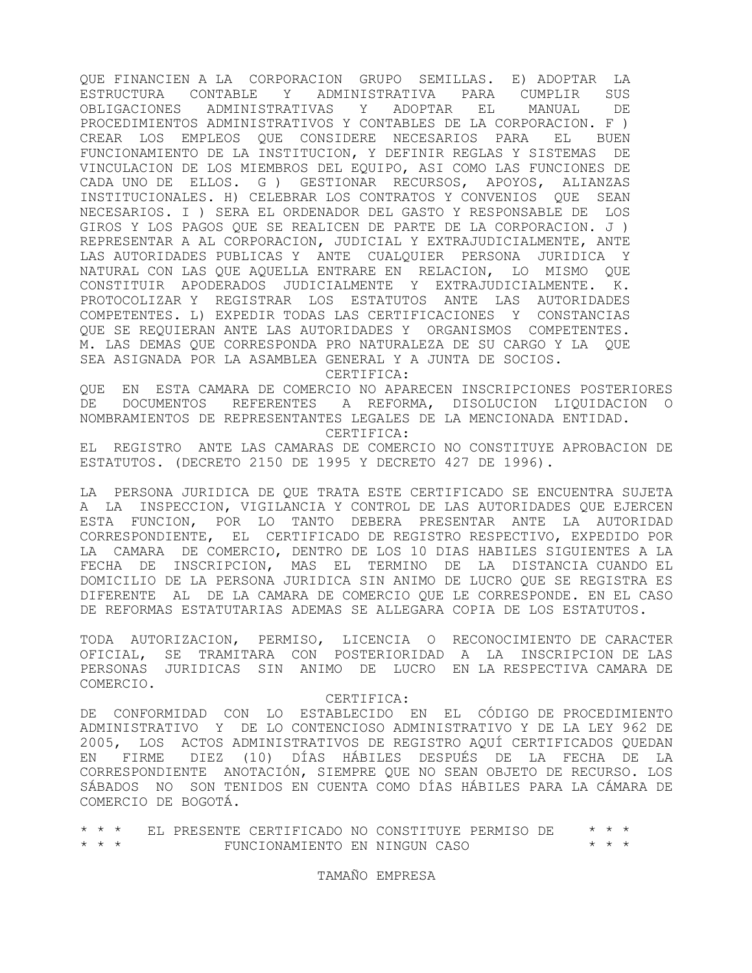QUE FINANCIEN A LA CORPORACION GRUPO SEMILLAS. E) ADOPTAR LA ESTRUCTURA CONTABLE Y ADMINISTRATIVA PARA CUMPLIR SUS OBLIGACIONES ADMINISTRATIVAS Y ADOPTAR EL MANUAL DE PROCEDIMIENTOS ADMINISTRATIVOS Y CONTABLES DE LA CORPORACION. F ) CREAR LOS EMPLEOS QUE CONSIDERE NECESARIOS PARA EL BUEN FUNCIONAMIENTO DE LA INSTITUCION, Y DEFINIR REGLAS Y SISTEMAS DE VINCULACION DE LOS MIEMBROS DEL EQUIPO, ASI COMO LAS FUNCIONES DE CADA UNO DE ELLOS. G ) GESTIONAR RECURSOS, APOYOS, ALIANZAS INSTITUCIONALES. H) CELEBRAR LOS CONTRATOS Y CONVENIOS QUE SEAN NECESARIOS. I ) SERA EL ORDENADOR DEL GASTO Y RESPONSABLE DE LOS GIROS Y LOS PAGOS QUE SE REALICEN DE PARTE DE LA CORPORACION. J ) REPRESENTAR A AL CORPORACION, JUDICIAL Y EXTRAJUDICIALMENTE, ANTE LAS AUTORIDADES PUBLICAS Y ANTE CUALQUIER PERSONA JURIDICA Y NATURAL CON LAS QUE AQUELLA ENTRARE EN RELACION, LO MISMO QUE CONSTITUIR APODERADOS JUDICIALMENTE Y EXTRAJUDICIALMENTE. K. PROTOCOLIZAR Y REGISTRAR LOS ESTATUTOS ANTE LAS AUTORIDADES COMPETENTES. L) EXPEDIR TODAS LAS CERTIFICACIONES Y CONSTANCIAS QUE SE REQUIERAN ANTE LAS AUTORIDADES Y ORGANISMOS COMPETENTES. M. LAS DEMAS QUE CORRESPONDA PRO NATURALEZA DE SU CARGO Y LA QUE SEA ASIGNADA POR LA ASAMBLEA GENERAL Y A JUNTA DE SOCIOS.

CERTIFICA:

QUE EN ESTA CAMARA DE COMERCIO NO APARECEN INSCRIPCIONES POSTERIORES DE DOCUMENTOS REFERENTES A REFORMA, DISOLUCION LIQUIDACION O NOMBRAMIENTOS DE REPRESENTANTES LEGALES DE LA MENCIONADA ENTIDAD. CERTIFICA:

EL REGISTRO ANTE LAS CAMARAS DE COMERCIO NO CONSTITUYE APROBACION DE ESTATUTOS. (DECRETO 2150 DE 1995 Y DECRETO 427 DE 1996).

LA PERSONA JURIDICA DE QUE TRATA ESTE CERTIFICADO SE ENCUENTRA SUJETA A LA INSPECCION, VIGILANCIA Y CONTROL DE LAS AUTORIDADES QUE EJERCEN ESTA FUNCION, POR LO TANTO DEBERA PRESENTAR ANTE LA AUTORIDAD CORRESPONDIENTE, EL CERTIFICADO DE REGISTRO RESPECTIVO, EXPEDIDO POR LA CAMARA DE COMERCIO, DENTRO DE LOS 10 DIAS HABILES SIGUIENTES A LA FECHA DE INSCRIPCION, MAS EL TERMINO DE LA DISTANCIA CUANDO EL DOMICILIO DE LA PERSONA JURIDICA SIN ANIMO DE LUCRO QUE SE REGISTRA ES DIFERENTE AL DE LA CAMARA DE COMERCIO QUE LE CORRESPONDE. EN EL CASO DE REFORMAS ESTATUTARIAS ADEMAS SE ALLEGARA COPIA DE LOS ESTATUTOS.

TODA AUTORIZACION, PERMISO, LICENCIA O RECONOCIMIENTO DE CARACTER OFICIAL, SE TRAMITARA CON POSTERIORIDAD A LA INSCRIPCION DE LAS PERSONAS JURIDICAS SIN ANIMO DE LUCRO EN LA RESPECTIVA CAMARA DE COMERCIO.

## CERTIFICA:

DE CONFORMIDAD CON LO ESTABLECIDO EN EL CÓDIGO DE PROCEDIMIENTO ADMINISTRATIVO Y DE LO CONTENCIOSO ADMINISTRATIVO Y DE LA LEY 962 DE 2005, LOS ACTOS ADMINISTRATIVOS DE REGISTRO AQUÍ CERTIFICADOS QUEDAN EN FIRME DIEZ (10) DÍAS HÁBILES DESPUÉS DE LA FECHA DE LA CORRESPONDIENTE ANOTACIÓN, SIEMPRE QUE NO SEAN OBJETO DE RECURSO. LOS SÁBADOS NO SON TENIDOS EN CUENTA COMO DÍAS HÁBILES PARA LA CÁMARA DE COMERCIO DE BOGOTÁ.

\* \* \* EL PRESENTE CERTIFICADO NO CONSTITUYE PERMISO DE \* \* \*  ${\tt FUNCIONAMIENTO}$  EN NINGUN CASO

## TAMAÑO EMPRESA